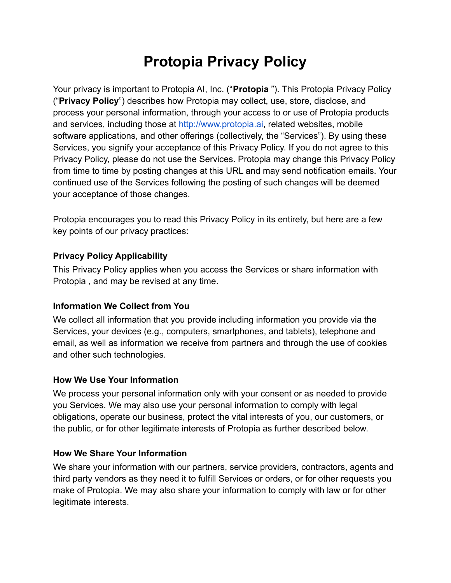# **Protopia Privacy Policy**

Your privacy is important to Protopia AI, Inc. ("**Protopia** "). This Protopia Privacy Policy ("**Privacy Policy**") describes how Protopia may collect, use, store, disclose, and process your personal information, through your access to or use of Protopia products and services, including those at [http://www.protopia.ai](http://www.protopia.ai/), related websites, mobile software applications, and other offerings (collectively, the "Services"). By using these Services, you signify your acceptance of this Privacy Policy. If you do not agree to this Privacy Policy, please do not use the Services. Protopia may change this Privacy Policy from time to time by posting changes at this URL and may send notification emails. Your continued use of the Services following the posting of such changes will be deemed your acceptance of those changes.

Protopia encourages you to read this Privacy Policy in its entirety, but here are a few key points of our privacy practices:

### **Privacy Policy Applicability**

This Privacy Policy applies when you access the Services or share information with Protopia , and may be revised at any time.

## **Information We Collect from You**

We collect all information that you provide including information you provide via the Services, your devices (e.g., computers, smartphones, and tablets), telephone and email, as well as information we receive from partners and through the use of cookies and other such technologies.

#### **How We Use Your Information**

We process your personal information only with your consent or as needed to provide you Services. We may also use your personal information to comply with legal obligations, operate our business, protect the vital interests of you, our customers, or the public, or for other legitimate interests of Protopia as further described below.

#### **How We Share Your Information**

We share your information with our partners, service providers, contractors, agents and third party vendors as they need it to fulfill Services or orders, or for other requests you make of Protopia. We may also share your information to comply with law or for other legitimate interests.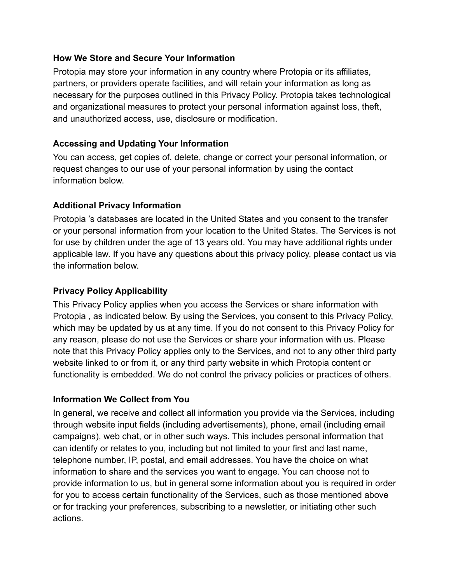#### **How We Store and Secure Your Information**

Protopia may store your information in any country where Protopia or its affiliates, partners, or providers operate facilities, and will retain your information as long as necessary for the purposes outlined in this Privacy Policy. Protopia takes technological and organizational measures to protect your personal information against loss, theft, and unauthorized access, use, disclosure or modification.

#### **Accessing and Updating Your Information**

You can access, get copies of, delete, change or correct your personal information, or request changes to our use of your personal information by using the contact information below.

### **Additional Privacy Information**

Protopia 's databases are located in the United States and you consent to the transfer or your personal information from your location to the United States. The Services is not for use by children under the age of 13 years old. You may have additional rights under applicable law. If you have any questions about this privacy policy, please contact us via the information below.

#### **Privacy Policy Applicability**

This Privacy Policy applies when you access the Services or share information with Protopia , as indicated below. By using the Services, you consent to this Privacy Policy, which may be updated by us at any time. If you do not consent to this Privacy Policy for any reason, please do not use the Services or share your information with us. Please note that this Privacy Policy applies only to the Services, and not to any other third party website linked to or from it, or any third party website in which Protopia content or functionality is embedded. We do not control the privacy policies or practices of others.

#### **Information We Collect from You**

In general, we receive and collect all information you provide via the Services, including through website input fields (including advertisements), phone, email (including email campaigns), web chat, or in other such ways. This includes personal information that can identify or relates to you, including but not limited to your first and last name, telephone number, IP, postal, and email addresses. You have the choice on what information to share and the services you want to engage. You can choose not to provide information to us, but in general some information about you is required in order for you to access certain functionality of the Services, such as those mentioned above or for tracking your preferences, subscribing to a newsletter, or initiating other such actions.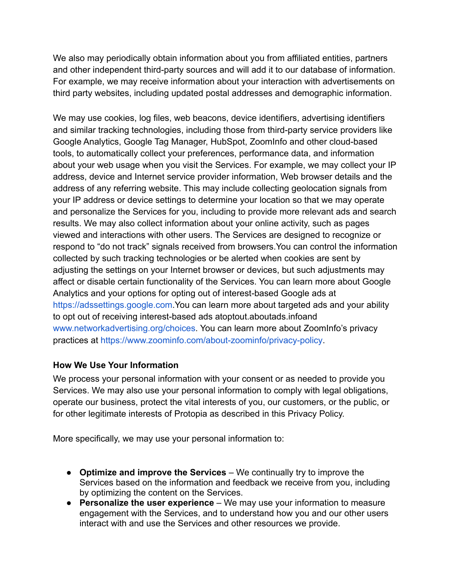We also may periodically obtain information about you from affiliated entities, partners and other independent third-party sources and will add it to our database of information. For example, we may receive information about your interaction with advertisements on third party websites, including updated postal addresses and demographic information.

We may use cookies, log files, web beacons, device identifiers, advertising identifiers and similar tracking technologies, including those from third-party service providers like Google Analytics, Google Tag Manager, HubSpot, ZoomInfo and other cloud-based tools, to automatically collect your preferences, performance data, and information about your web usage when you visit the Services. For example, we may collect your IP address, device and Internet service provider information, Web browser details and the address of any referring website. This may include collecting geolocation signals from your IP address or device settings to determine your location so that we may operate and personalize the Services for you, including to provide more relevant ads and search results. We may also collect information about your online activity, such as pages viewed and interactions with other users. The Services are designed to recognize or respond to "do not track" signals received from browsers.You can control the information collected by such tracking technologies or be alerted when cookies are sent by adjusting the settings on your Internet browser or devices, but such adjustments may affect or disable certain functionality of the Services. You can learn more about Google Analytics and your options for opting out of interest-based Google ads at [https://adssettings.google.com](https://adssettings.google.com/).You can learn more about targeted ads and your ability to opt out of receiving interest-based ads atoptout.aboutads.infoand [www.networkadvertising.org/choices](http://www.networkadvertising.org/choices). You can learn more about ZoomInfo's privacy practices at <https://www.zoominfo.com/about-zoominfo/privacy-policy>.

#### **How We Use Your Information**

We process your personal information with your consent or as needed to provide you Services. We may also use your personal information to comply with legal obligations, operate our business, protect the vital interests of you, our customers, or the public, or for other legitimate interests of Protopia as described in this Privacy Policy.

More specifically, we may use your personal information to:

- **Optimize and improve the Services** We continually try to improve the Services based on the information and feedback we receive from you, including by optimizing the content on the Services.
- **Personalize the user experience** We may use your information to measure engagement with the Services, and to understand how you and our other users interact with and use the Services and other resources we provide.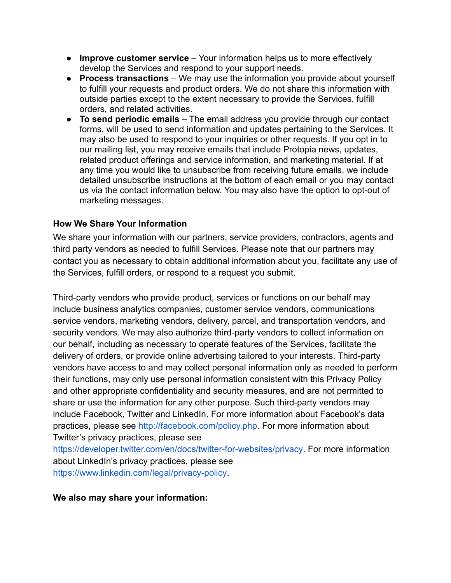- **Improve customer service** Your information helps us to more effectively develop the Services and respond to your support needs.
- **Process transactions** We may use the information you provide about yourself to fulfill your requests and product orders. We do not share this information with outside parties except to the extent necessary to provide the Services, fulfill orders, and related activities.
- **To send periodic emails** The email address you provide through our contact forms, will be used to send information and updates pertaining to the Services. It may also be used to respond to your inquiries or other requests. If you opt in to our mailing list, you may receive emails that include Protopia news, updates, related product offerings and service information, and marketing material. If at any time you would like to unsubscribe from receiving future emails, we include detailed unsubscribe instructions at the bottom of each email or you may contact us via the contact information below. You may also have the option to opt-out of marketing messages.

#### **How We Share Your Information**

We share your information with our partners, service providers, contractors, agents and third party vendors as needed to fulfill Services. Please note that our partners may contact you as necessary to obtain additional information about you, facilitate any use of the Services, fulfill orders, or respond to a request you submit.

Third-party vendors who provide product, services or functions on our behalf may include business analytics companies, customer service vendors, communications service vendors, marketing vendors, delivery, parcel, and transportation vendors, and security vendors. We may also authorize third-party vendors to collect information on our behalf, including as necessary to operate features of the Services, facilitate the delivery of orders, or provide online advertising tailored to your interests. Third-party vendors have access to and may collect personal information only as needed to perform their functions, may only use personal information consistent with this Privacy Policy and other appropriate confidentiality and security measures, and are not permitted to share or use the information for any other purpose. Such third-party vendors may include Facebook, Twitter and LinkedIn. For more information about Facebook's data practices, please see <http://facebook.com/policy.php>. For more information about Twitter's privacy practices, please see <https://developer.twitter.com/en/docs/twitter-for-websites/privacy>. For more information about LinkedIn's privacy practices, please see

<https://www.linkedin.com/legal/privacy-policy>.

**We also may share your information:**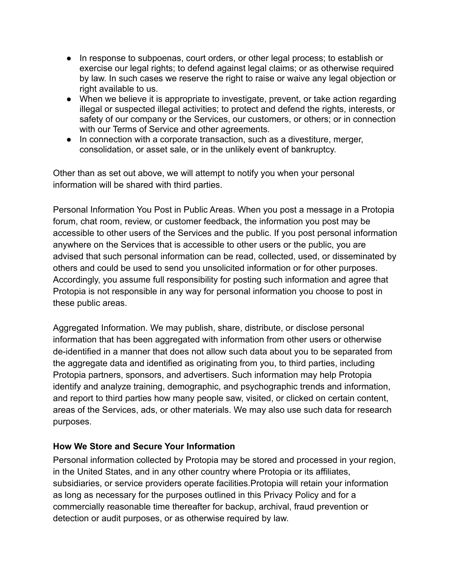- In response to subpoenas, court orders, or other legal process; to establish or exercise our legal rights; to defend against legal claims; or as otherwise required by law. In such cases we reserve the right to raise or waive any legal objection or right available to us.
- When we believe it is appropriate to investigate, prevent, or take action regarding illegal or suspected illegal activities; to protect and defend the rights, interests, or safety of our company or the Services, our customers, or others; or in connection with our Terms of Service and other agreements.
- In connection with a corporate transaction, such as a divestiture, merger, consolidation, or asset sale, or in the unlikely event of bankruptcy.

Other than as set out above, we will attempt to notify you when your personal information will be shared with third parties.

Personal Information You Post in Public Areas. When you post a message in a Protopia forum, chat room, review, or customer feedback, the information you post may be accessible to other users of the Services and the public. If you post personal information anywhere on the Services that is accessible to other users or the public, you are advised that such personal information can be read, collected, used, or disseminated by others and could be used to send you unsolicited information or for other purposes. Accordingly, you assume full responsibility for posting such information and agree that Protopia is not responsible in any way for personal information you choose to post in these public areas.

Aggregated Information. We may publish, share, distribute, or disclose personal information that has been aggregated with information from other users or otherwise de-identified in a manner that does not allow such data about you to be separated from the aggregate data and identified as originating from you, to third parties, including Protopia partners, sponsors, and advertisers. Such information may help Protopia identify and analyze training, demographic, and psychographic trends and information, and report to third parties how many people saw, visited, or clicked on certain content, areas of the Services, ads, or other materials. We may also use such data for research purposes.

#### **How We Store and Secure Your Information**

Personal information collected by Protopia may be stored and processed in your region, in the United States, and in any other country where Protopia or its affiliates, subsidiaries, or service providers operate facilities.Protopia will retain your information as long as necessary for the purposes outlined in this Privacy Policy and for a commercially reasonable time thereafter for backup, archival, fraud prevention or detection or audit purposes, or as otherwise required by law.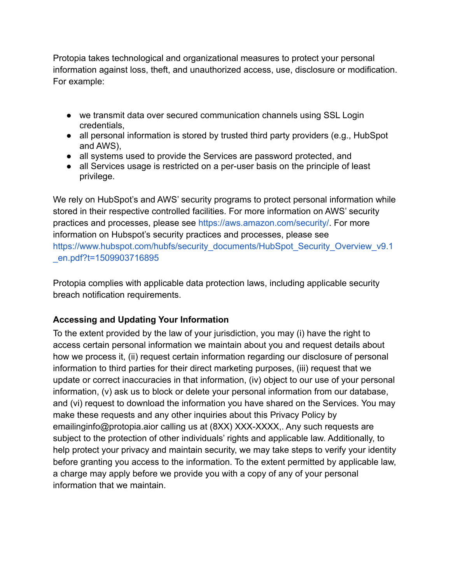Protopia takes technological and organizational measures to protect your personal information against loss, theft, and unauthorized access, use, disclosure or modification. For example:

- we transmit data over secured communication channels using SSL Login credentials,
- all personal information is stored by trusted third party providers (e.g., HubSpot and AWS),
- all systems used to provide the Services are password protected, and
- all Services usage is restricted on a per-user basis on the principle of least privilege.

We rely on HubSpot's and AWS' security programs to protect personal information while stored in their respective controlled facilities. For more information on AWS' security practices and processes, please see [https://aws.amazon.com/security/.](https://aws.amazon.com/security/) For more information on Hubspot's security practices and processes, please see [https://www.hubspot.com/hubfs/security\\_documents/HubSpot\\_Security\\_Overview\\_v9.1](https://protopia.ai/thank-you-careers/) [\\_en.pdf?t=1509903716895](https://protopia.ai/thank-you-careers/)

Protopia complies with applicable data protection laws, including applicable security breach notification requirements.

# **Accessing and Updating Your Information**

To the extent provided by the law of your jurisdiction, you may (i) have the right to access certain personal information we maintain about you and request details about how we process it, (ii) request certain information regarding our disclosure of personal information to third parties for their direct marketing purposes, (iii) request that we update or correct inaccuracies in that information, (iv) object to our use of your personal information, (v) ask us to block or delete your personal information from our database, and (vi) request to download the information you have shared on the Services. You may make these requests and any other inquiries about this Privacy Policy by emailinginfo@protopia.aior calling us at (8XX) XXX-XXXX,. Any such requests are subject to the protection of other individuals' rights and applicable law. Additionally, to help protect your privacy and maintain security, we may take steps to verify your identity before granting you access to the information. To the extent permitted by applicable law, a charge may apply before we provide you with a copy of any of your personal information that we maintain.